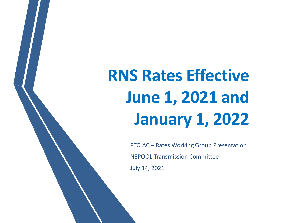**RNS Rates Effective June 1, 2021 and January 1, 2022**

> PTO AC – Rates Working Group Presentation NEPOOL Transmission Committee July 14, 2021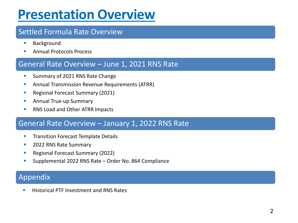## **Presentation Overview**

#### Settled Formula Rate Overview

- Background
- **Annual Protocols Process**

#### General Rate Overview – June 1, 2021 RNS Rate

- **E** Summary of 2021 RNS Rate Change
- **E** Annual Transmission Revenue Requirements (ATRR)
- Regional Forecast Summary (2021)
- **E** Annual True-up Summary
- RNS Load and Other ATRR Impacts

#### General Rate Overview – January 1, 2022 RNS Rate

- **Transition Forecast Template Details**
- 2022 RNS Rate Summary
- Regional Forecast Summary (2022)
- Supplemental 2022 RNS Rate Order No. 864 Compliance

#### Appendix

**Historical PTF Investment and RNS Rates**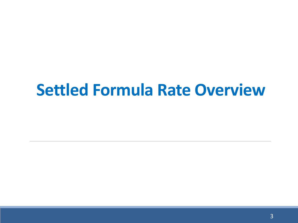# **Settled Formula Rate Overview**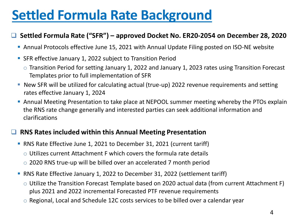# **Settled Formula Rate Background**

#### ❑ **Settled Formula Rate ("SFR") – approved Docket No. ER20-2054 on December 28, 2020**

- **Annual Protocols effective June 15, 2021 with Annual Update Filing posted on ISO-NE website**
- **EXTER Effective January 1, 2022 subject to Transition Period** 
	- o Transition Period for setting January 1, 2022 and January 1, 2023 rates using Transition Forecast Templates prior to full implementation of SFR
- **New SFR will be utilized for calculating actual (true-up) 2022 revenue requirements and setting** rates effective January 1, 2024
- **Annual Meeting Presentation to take place at NEPOOL summer meeting whereby the PTOs explain** the RNS rate change generally and interested parties can seek additional information and clarifications

#### ❑ **RNS Rates included within this Annual Meeting Presentation**

- RNS Rate Effective June 1, 2021 to December 31, 2021 (current tariff)
	- $\circ$  Utilizes current Attachment F which covers the formula rate details
	- o 2020 RNS true-up will be billed over an accelerated 7 month period
- RNS Rate Effective January 1, 2022 to December 31, 2022 (settlement tariff)
	- o Utilize the Transition Forecast Template based on 2020 actual data (from current Attachment F) plus 2021 and 2022 incremental Forecasted PTF revenue requirements
	- o Regional, Local and Schedule 12C costs services to be billed over a calendar year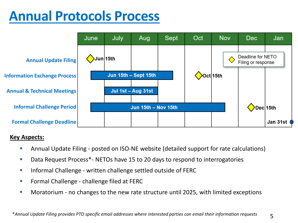## **Annual Protocols Process**



#### **Key Aspects:**

- **EXT** Annual Update Filing posted on ISO-NE website (detailed support for rate calculations)
- Data Request Process<sup>\*</sup>- NETOs have 15 to 20 days to respond to interrogatories
- Informal Challenge written challenge settled outside of FERC
- Formal Challenge challenge filed at FERC
- Moratorium no changes to the new rate structure until 2025, with limited exceptions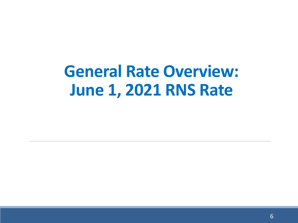# **General Rate Overview: June 1, 2021 RNS Rate**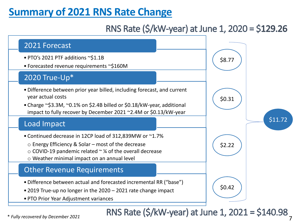## **Summary of 2021 RNS Rate Change**

## RNS Rate (\$/kW-year) at June 1, 2020 = \$129.26



\* *Fully recovered by December 2021*

7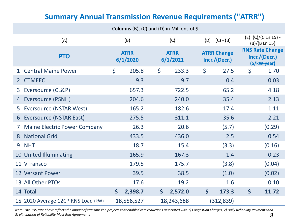#### **Summary Annual Transmission Revenue Requirements ("ATRR")**

|                | Columns (B), (C) and (D) in Millions of $\oint$ |                         |            |                         |            |                                     |                   |                                                         |                                      |  |  |
|----------------|-------------------------------------------------|-------------------------|------------|-------------------------|------------|-------------------------------------|-------------------|---------------------------------------------------------|--------------------------------------|--|--|
|                | (A)                                             |                         | (B)        |                         | (C)        |                                     | $(D) = (C) - (B)$ |                                                         | (E)=(C)/(C Ln 15) -<br>(B)/(B Ln 15) |  |  |
|                | <b>PTO</b>                                      | <b>ATRR</b><br>6/1/2020 |            | <b>ATRR</b><br>6/1/2021 |            | <b>ATRR Change</b><br>Incr./(Decr.) |                   | <b>RNS Rate Change</b><br>Incr./(Decr.)<br>(\$/kW-year) |                                      |  |  |
| $\mathbf{1}$   | <b>Central Maine Power</b>                      | \$                      | 205.8      | \$                      | 233.3      | $\zeta$                             | 27.5              | \$                                                      | 1.70                                 |  |  |
| 2 <sup>1</sup> | <b>CTMEEC</b>                                   |                         | 9.3        |                         | 9.7        |                                     | 0.4               |                                                         | 0.03                                 |  |  |
| 3              | Eversource (CL&P)                               |                         | 657.3      |                         | 722.5      |                                     | 65.2              |                                                         | 4.18                                 |  |  |
| 4              | Eversource (PSNH)                               |                         | 204.6      |                         | 240.0      |                                     | 35.4              |                                                         | 2.13                                 |  |  |
| 5.             | Eversource (NSTAR West)                         |                         | 165.2      |                         | 182.6      |                                     | 17.4              |                                                         | 1.11                                 |  |  |
| 6              | <b>Eversource (NSTAR East)</b>                  |                         | 275.5      |                         | 311.1      |                                     | 35.6              |                                                         | 2.21                                 |  |  |
|                | <b>Maine Electric Power Company</b>             |                         | 26.3       |                         | 20.6       |                                     | (5.7)             |                                                         | (0.29)                               |  |  |
| 8              | <b>National Grid</b>                            |                         | 433.5      |                         | 436.0      |                                     | 2.5               |                                                         | 0.54                                 |  |  |
| 9              | <b>NHT</b>                                      |                         | 18.7       |                         | 15.4       |                                     | (3.3)             |                                                         | (0.16)                               |  |  |
|                | 10 United Illuminating                          |                         | 165.9      |                         | 167.3      |                                     | 1.4               |                                                         | 0.23                                 |  |  |
|                | 11 VTransco                                     |                         | 179.5      |                         | 175.7      |                                     | (3.8)             |                                                         | (0.04)                               |  |  |
|                | <b>12 Versant Power</b>                         |                         | 39.5       |                         | 38.5       |                                     | (1.0)             |                                                         | (0.02)                               |  |  |
|                | 13 All Other PTOs                               |                         | 17.6       |                         | 19.2       |                                     | 1.6               |                                                         | 0.10                                 |  |  |
|                | 14 Total                                        | $\boldsymbol{\zeta}$    | 2,398.7    | $\boldsymbol{\zeta}$    | 2,572.0    | $\boldsymbol{\zeta}$                | 173.3             | $\mathsf{S}$                                            | 11.72                                |  |  |
|                | 15 2020 Average 12CP RNS Load (kW)              |                         | 18,556,527 |                         | 18,243,688 |                                     | (312, 839)        |                                                         |                                      |  |  |

8 *Note: The RNS rate above reflects the impact of transmission projects that enabled rate reductions associated with 1) Congestion Charges, 2) Daily Reliability Payments and 3) elimination of Reliability Must Run Agreements*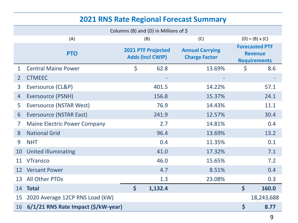#### **2021 RNS Rate Regional Forecast Summary**

|    | Columns (B) and (D) in Millions of $\oint$ |                                                      |         |                                                |                      |                                                                |  |  |  |  |
|----|--------------------------------------------|------------------------------------------------------|---------|------------------------------------------------|----------------------|----------------------------------------------------------------|--|--|--|--|
|    | (A)                                        | (B)                                                  | (C)     | $(D) = (B) \times (C)$                         |                      |                                                                |  |  |  |  |
|    | <b>PTO</b>                                 | <b>2021 PTF Projected</b><br><b>Adds (Incl CWIP)</b> |         | <b>Annual Carrying</b><br><b>Charge Factor</b> |                      | <b>Forecasted PTF</b><br><b>Revenue</b><br><b>Requirements</b> |  |  |  |  |
| 1  | <b>Central Maine Power</b>                 | $\zeta$                                              | 62.8    | 13.69%                                         | $\zeta$              | 8.6                                                            |  |  |  |  |
| 2  | <b>CTMEEC</b>                              |                                                      |         |                                                |                      |                                                                |  |  |  |  |
| 3  | Eversource (CL&P)                          |                                                      | 401.5   | 14.22%                                         |                      | 57.1                                                           |  |  |  |  |
| 4  | Eversource (PSNH)                          |                                                      | 156.8   | 15.37%                                         |                      | 24.1                                                           |  |  |  |  |
| 5  | <b>Eversource (NSTAR West)</b>             |                                                      | 76.9    | 14.43%                                         |                      | 11.1                                                           |  |  |  |  |
| 6  | <b>Eversource (NSTAR East)</b>             |                                                      | 241.9   | 12.57%                                         |                      | 30.4                                                           |  |  |  |  |
| 7  | <b>Maine Electric Power Company</b>        |                                                      | 2.7     | 14.81%                                         |                      | 0.4                                                            |  |  |  |  |
| 8  | <b>National Grid</b>                       |                                                      | 96.4    | 13.69%                                         |                      | 13.2                                                           |  |  |  |  |
| 9  | <b>NHT</b>                                 |                                                      | 0.4     | 11.35%                                         |                      | 0.1                                                            |  |  |  |  |
| 10 | <b>United Illuminating</b>                 |                                                      | 41.0    | 17.32%                                         |                      | 7.1                                                            |  |  |  |  |
| 11 | <b>VTransco</b>                            |                                                      | 46.0    | 15.65%                                         |                      | 7.2                                                            |  |  |  |  |
| 12 | <b>Versant Power</b>                       |                                                      | 4.7     | 8.51%                                          |                      | 0.4                                                            |  |  |  |  |
| 13 | <b>All Other PTOs</b>                      |                                                      | 1.3     | 23.08%                                         |                      | 0.3                                                            |  |  |  |  |
| 14 | <b>Total</b>                               | $\mathsf{S}$                                         | 1,132.4 |                                                | $\mathsf{S}$         | 160.0                                                          |  |  |  |  |
| 15 | 2020 Average 12CP RNS Load (kW)            |                                                      |         |                                                |                      | 18,243,688                                                     |  |  |  |  |
| 16 | 6/1/21 RNS Rate Impact (\$/kW-year)        |                                                      |         |                                                | $\boldsymbol{\zeta}$ | 8.77                                                           |  |  |  |  |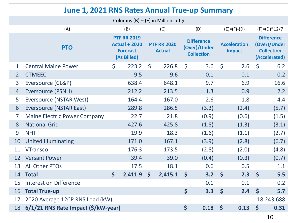#### **June 1, 2021 RNS Rates Annual True-up Summary**

|                | Columns (B) – (F) in Millions of \$ |                    |                                                                              |              |                                     |                                                        |       |                                      |                   |                                                                         |                |  |
|----------------|-------------------------------------|--------------------|------------------------------------------------------------------------------|--------------|-------------------------------------|--------------------------------------------------------|-------|--------------------------------------|-------------------|-------------------------------------------------------------------------|----------------|--|
|                | (A)                                 |                    | (B)                                                                          |              | (C)                                 |                                                        | (D)   |                                      | $(E) = (F) - (D)$ |                                                                         | $(F)=(D)*12/7$ |  |
|                | <b>PTO</b>                          |                    | <b>PTF RR 2019</b><br><b>Actual + 2020</b><br><b>Forecast</b><br>(As Billed) |              | <b>PTF RR 2020</b><br><b>Actual</b> | <b>Difference</b><br>(Over)/Under<br><b>Collection</b> |       | <b>Acceleration</b><br><b>Impact</b> |                   | <b>Difference</b><br>(Over)/Under<br><b>Collection</b><br>(Accelerated) |                |  |
| $\mathbf 1$    | <b>Central Maine Power</b>          | \$                 | 223.2                                                                        | $\zeta$      | 226.8                               | $\zeta$                                                | 3.6   | $\zeta$                              | 2.6               | $\zeta$                                                                 | 6.2            |  |
| $\overline{2}$ | <b>CTMEEC</b>                       |                    | 9.5                                                                          |              | 9.6                                 |                                                        | 0.1   |                                      | 0.1               |                                                                         | 0.2            |  |
| $\overline{3}$ | Eversource (CL&P)                   |                    | 638.4                                                                        |              | 648.1                               |                                                        | 9.7   |                                      | 6.9               |                                                                         | 16.6           |  |
| $\overline{4}$ | <b>Eversource (PSNH)</b>            |                    | 212.2                                                                        |              | 213.5                               |                                                        | 1.3   |                                      | 0.9               |                                                                         | 2.2            |  |
| 5              | <b>Eversource (NSTAR West)</b>      |                    | 164.4                                                                        |              | 167.0                               |                                                        | 2.6   |                                      | 1.8               |                                                                         | 4.4            |  |
| 6              | Eversource (NSTAR East)             |                    | 289.8                                                                        |              | 286.5                               |                                                        | (3.3) |                                      | (2.4)             |                                                                         | (5.7)          |  |
| $\overline{7}$ | <b>Maine Electric Power Company</b> |                    | 22.7                                                                         |              | 21.8                                |                                                        | (0.9) |                                      | (0.6)             |                                                                         | (1.5)          |  |
| 8              | <b>National Grid</b>                |                    | 427.6                                                                        |              | 425.8                               |                                                        | (1.8) |                                      | (1.3)             |                                                                         | (3.1)          |  |
| 9              | <b>NHT</b>                          |                    | 19.9                                                                         |              | 18.3                                |                                                        | (1.6) |                                      | (1.1)             |                                                                         | (2.7)          |  |
| 10             | <b>United Illuminating</b>          |                    | 171.0                                                                        |              | 167.1                               |                                                        | (3.9) |                                      | (2.8)             |                                                                         | (6.7)          |  |
| 11             | <b>VTransco</b>                     |                    | 176.3                                                                        |              | 173.5                               |                                                        | (2.8) |                                      | (2.0)             |                                                                         | (4.8)          |  |
| 12             | <b>Versant Power</b>                |                    | 39.4                                                                         |              | 39.0                                |                                                        | (0.4) |                                      | (0.3)             |                                                                         | (0.7)          |  |
| 13             | <b>All Other PTOs</b>               |                    | 17.5                                                                         |              | 18.1                                |                                                        | 0.6   |                                      | 0.5               |                                                                         | 1.1            |  |
| 14             | <b>Total</b>                        | $\mathsf{\dot{S}}$ | 2,411.9                                                                      | $\mathsf{S}$ | 2,415.1                             | $\boldsymbol{\zeta}$                                   | 3.2   | $\boldsymbol{\zeta}$                 | 2.3               | $\mathsf{\dot{S}}$                                                      | 5.5            |  |
| 15             | <b>Interest on Difference</b>       |                    |                                                                              |              |                                     |                                                        | 0.1   |                                      | 0.1               |                                                                         | 0.2            |  |
| 16             | <b>Total True-up</b>                |                    |                                                                              |              |                                     | $\mathsf{S}$                                           | 3.3   | $\boldsymbol{\zeta}$                 | 2.4               | $\boldsymbol{\zeta}$                                                    | 5.7            |  |
| 17             | 2020 Average 12CP RNS Load (kW)     |                    |                                                                              |              |                                     |                                                        |       |                                      |                   |                                                                         | 18,243,688     |  |
| 18             | 6/1/21 RNS Rate Impact (\$/kW-year) |                    |                                                                              |              |                                     | \$                                                     | 0.18  | \$                                   | 0.13              | \$                                                                      | 0.31           |  |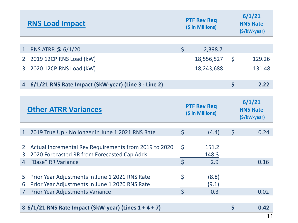|                     | <b>RNS Load Impact</b>                                                                               |              | <b>PTF Rev Req</b><br>(\$ in Millions) |                       | 6/1/21<br><b>RNS Rate</b><br>(\$/kW-year) |  |  |
|---------------------|------------------------------------------------------------------------------------------------------|--------------|----------------------------------------|-----------------------|-------------------------------------------|--|--|
|                     |                                                                                                      |              |                                        |                       |                                           |  |  |
| $\mathbf{1}$        | RNS ATRR @ 6/1/20                                                                                    | $\varsigma$  | 2,398.7                                |                       |                                           |  |  |
| 2 <sup>1</sup>      | 2019 12CP RNS Load (kW)                                                                              |              | 18,556,527                             | $\mathsf{S}$          | 129.26                                    |  |  |
| $\overline{3}$      | 2020 12CP RNS Load (kW)                                                                              |              | 18,243,688                             |                       | 131.48                                    |  |  |
|                     |                                                                                                      |              |                                        |                       |                                           |  |  |
| $\overline{4}$      | 6/1/21 RNS Rate Impact (\$kW-year) (Line 3 - Line 2)                                                 |              |                                        | \$                    | 2.22                                      |  |  |
|                     |                                                                                                      |              |                                        |                       |                                           |  |  |
|                     | <b>Other ATRR Variances</b>                                                                          |              | <b>PTF Rev Req</b><br>(\$ in Millions) |                       | 6/1/21<br><b>RNS Rate</b><br>(\$/kW-year) |  |  |
| $\mathbf{1}$        | 2019 True Up - No longer in June 1 2021 RNS Rate                                                     | $\zeta$      | (4.4)                                  | $\zeta$               | 0.24                                      |  |  |
| $\overline{2}$<br>3 | Actual Incremental Rev Requirements from 2019 to 2020<br>2020 Forecasted RR from Forecasted Cap Adds | $\zeta$      | 151.2<br>148.3                         |                       |                                           |  |  |
| 4                   | "Base" RR Variance                                                                                   | $\mathsf{S}$ | 2.9                                    |                       | 0.16                                      |  |  |
| 5<br>6              | Prior Year Adjustments in June 1 2021 RNS Rate<br>Prior Year Adjustments in June 1 2020 RNS Rate     | \$           | (8.8)<br>(9.1)                         |                       |                                           |  |  |
| $\overline{7}$      | Prior Year Adjustments Variance                                                                      | $\mathsf{S}$ | 0.3                                    |                       | 0.02                                      |  |  |
|                     | 8 6/1/21 RNS Rate Impact (\$kW-year) (Lines 1 + 4 + 7)                                               |              |                                        | $\mathsf{\mathsf{S}}$ | 0.42                                      |  |  |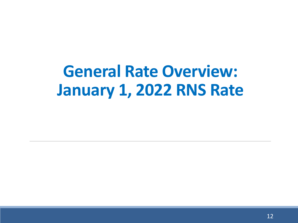# **General Rate Overview: January 1, 2022 RNS Rate**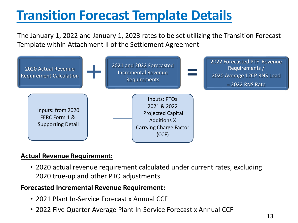# **Transition Forecast Template Details**

The January 1, 2022 and January 1, 2023 rates to be set utilizing the Transition Forecast Template within Attachment II of the Settlement Agreement



#### **Actual Revenue Requirement:**

• 2020 actual revenue requirement calculated under current rates, excluding 2020 true-up and other PTO adjustments

#### **Forecasted Incremental Revenue Requirement:**

- 2021 Plant In-Service Forecast x Annual CCF
- 2022 Five Quarter Average Plant In-Service Forecast x Annual CCF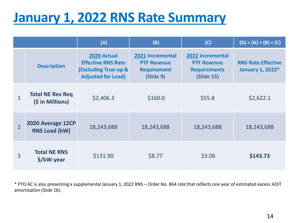## **January 1, 2022 RNS Rate Summary**

|                |                                             | (A)                                                                                                      | (B)                                                                       | (C)                                                                                       | $(D) = (A) + (B) + (C)$                              |
|----------------|---------------------------------------------|----------------------------------------------------------------------------------------------------------|---------------------------------------------------------------------------|-------------------------------------------------------------------------------------------|------------------------------------------------------|
|                | <b>Description</b>                          | 2020 Actual<br><b>Effective RNS Rate</b><br><b>(Excluding True-up &amp;</b><br><b>Adjusted for Load)</b> | 2021 Incremental<br><b>PTF Revenue</b><br><b>Requirement</b><br>(Slide 9) | <b>2022 Incremental</b><br><b>PTF Revenue</b><br><b>Requirements</b><br><b>(Slide 15)</b> | <b>RNS Rate Effective</b><br><b>January 1, 2022*</b> |
| $\mathbf{1}$   | <b>Total NE Rev Req</b><br>(\$ in Millions) | \$2,406.3                                                                                                | \$160.0                                                                   | \$55.8                                                                                    | \$2,622.1                                            |
| $\overline{2}$ | 2020 Average 12CP<br><b>RNS Load (kW)</b>   | 18,243,688                                                                                               | 18,243,688                                                                | 18,243,688                                                                                | 18,243,688                                           |
| 3              | <b>Total NE RNS</b><br>\$/kW-year           | \$131.90                                                                                                 | \$8.77                                                                    | \$3.06                                                                                    | \$143.73                                             |

\* PTO AC is also presenting a supplemental January 1, 2022 RNS – Order No. 864 rate that reflects one year of estimated excess ADIT amortization (Slide 16).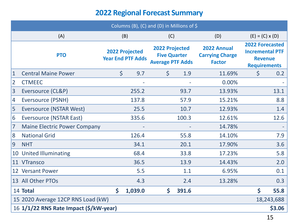#### **2022 Regional Forecast Summary**

|                 | Columns (B), (C) and (D) in Millions of $$$ |                                                   |         |                                                                         |       |                                                        |                                                                                           |            |  |  |  |  |
|-----------------|---------------------------------------------|---------------------------------------------------|---------|-------------------------------------------------------------------------|-------|--------------------------------------------------------|-------------------------------------------------------------------------------------------|------------|--|--|--|--|
|                 | (A)                                         |                                                   | (B)     | (C)                                                                     |       | (D)                                                    | $(E) = (C) \times (D)$                                                                    |            |  |  |  |  |
|                 | <b>PTO</b>                                  | <b>2022 Projected</b><br><b>Year End PTF Adds</b> |         | <b>2022 Projected</b><br><b>Five Quarter</b><br><b>Average PTF Adds</b> |       | 2022 Annual<br><b>Carrying Charge</b><br><b>Factor</b> | <b>2022 Forecasted</b><br><b>Incremental PTF</b><br><b>Revenue</b><br><b>Requirements</b> |            |  |  |  |  |
| $\mathbf{1}$    | <b>Central Maine Power</b>                  | $\zeta$                                           | 9.7     | $\zeta$<br>1.9                                                          |       | 11.69%                                                 | $\zeta$                                                                                   | 0.2        |  |  |  |  |
| $\overline{2}$  | <b>CTMEEC</b>                               |                                                   |         |                                                                         |       | 0.00%                                                  |                                                                                           |            |  |  |  |  |
| $\overline{3}$  | Eversource (CL&P)                           |                                                   | 255.2   |                                                                         | 93.7  | 13.93%                                                 |                                                                                           | 13.1       |  |  |  |  |
| $\vert 4 \vert$ | <b>Eversource (PSNH)</b>                    |                                                   | 137.8   |                                                                         | 57.9  | 15.21%                                                 |                                                                                           | 8.8        |  |  |  |  |
| 5               | <b>Eversource (NSTAR West)</b>              |                                                   | 25.5    |                                                                         | 10.7  | 12.93%                                                 |                                                                                           | 1.4        |  |  |  |  |
| 6               | Eversource (NSTAR East)                     |                                                   | 335.6   |                                                                         | 100.3 | 12.61%                                                 |                                                                                           | 12.6       |  |  |  |  |
| $\overline{7}$  | <b>Maine Electric Power Company</b>         |                                                   |         |                                                                         |       | 14.78%                                                 |                                                                                           |            |  |  |  |  |
| 8               | <b>National Grid</b>                        |                                                   | 126.4   |                                                                         | 55.8  | 14.10%                                                 |                                                                                           | 7.9        |  |  |  |  |
| 9               | <b>NHT</b>                                  |                                                   | 34.1    |                                                                         | 20.1  | 17.90%                                                 |                                                                                           | 3.6        |  |  |  |  |
|                 | 10 United Illuminating                      |                                                   | 68.4    |                                                                         | 33.8  | 17.23%                                                 |                                                                                           | 5.8        |  |  |  |  |
|                 | 11 VTransco                                 |                                                   | 36.5    |                                                                         | 13.9  | 14.43%                                                 |                                                                                           | 2.0        |  |  |  |  |
|                 | 12 Versant Power                            |                                                   | 5.5     |                                                                         | 1.1   | 6.95%                                                  |                                                                                           | 0.1        |  |  |  |  |
|                 | 13 All Other PTOs                           |                                                   | 4.3     |                                                                         | 2.4   | 13.28%                                                 |                                                                                           | 0.3        |  |  |  |  |
|                 | 14 Total                                    | $\mathsf{\mathsf{S}}$                             | 1,039.0 | $\mathsf{\mathsf{S}}$                                                   | 391.6 |                                                        | $\mathsf{\mathsf{S}}$                                                                     | 55.8       |  |  |  |  |
|                 | 15 2020 Average 12CP RNS Load (kW)          |                                                   |         |                                                                         |       |                                                        |                                                                                           | 18,243,688 |  |  |  |  |
|                 | 16 1/1/22 RNS Rate Impact (\$/kW-year)      |                                                   |         |                                                                         |       |                                                        |                                                                                           | \$3.06     |  |  |  |  |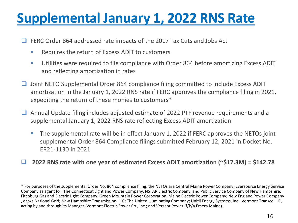## **Supplemental January 1, 2022 RNS Rate**

❑ FERC Order 864 addressed rate impacts of the 2017 Tax Cuts and Jobs Act

- Requires the return of Excess ADIT to customers
- Utilities were required to file compliance with Order 864 before amortizing Excess ADIT and reflecting amortization in rates
- ❑ Joint NETO Supplemental Order 864 compliance filing committed to include Excess ADIT amortization in the January 1, 2022 RNS rate if FERC approves the compliance filing in 2021, expediting the return of these monies to customers\*
- ❑ Annual Update filing includes adjusted estimate of 2022 PTF revenue requirements and a supplemental January 1, 2022 RNS rate reflecting Excess ADIT amortization
	- **The supplemental rate will be in effect January 1, 2022 if FERC approves the NETOs joint** supplemental Order 864 Compliance filings submitted February 12, 2021 in Docket No. ER21-1130 in 2021
- ❑ **2022 RNS rate with one year of estimated Excess ADIT amortization (~\$17.3M) = \$142.78**

**<sup>\*</sup>** For purposes of the supplemental Order No. 864 compliance filing, the NETOs are Central Maine Power Company; Eversource Energy Service Company as agent for: The Connecticut Light and Power Company, NSTAR Electric Company, and Public Service Company of New Hampshire; Fitchburg Gas and Electric Light Company; Green Mountain Power Corporation; Maine Electric Power Company; New England Power Company , d/b/a National Grid; New Hampshire Transmission, LLC; The United Illuminating Company; Unitil Energy Systems, Inc.; Vermont Transco LLC, acting by and through its Manager, Vermont Electric Power Co., Inc.; and Versant Power (f/k/a Emera Maine).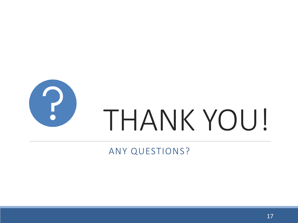

## ANY QUESTIONS?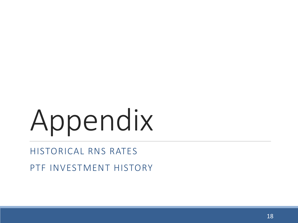# Appendix

## HISTORICAL RNS RATES

PTF INVESTMENT HISTORY